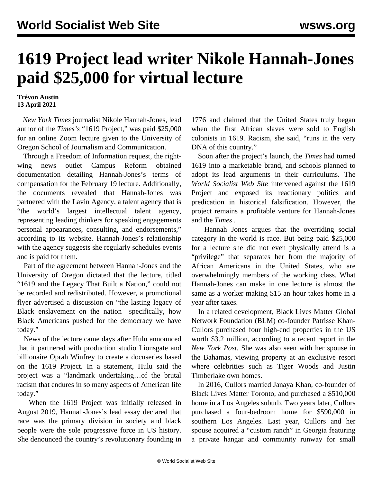## **1619 Project lead writer Nikole Hannah-Jones paid \$25,000 for virtual lecture**

## **Trévon Austin 13 April 2021**

 *New York Times* journalist Nikole Hannah-Jones, lead author of the *Times's* "1619 Project," was paid \$25,000 for an online Zoom lecture given to the University of Oregon School of Journalism and Communication.

 Through a Freedom of Information request, the rightwing news outlet Campus Reform obtained documentation detailing Hannah-Jones's terms of compensation for the February 19 lecture. Additionally, the documents revealed that Hannah-Jones was partnered with the Lavin Agency, a talent agency that is "the world's largest intellectual talent agency, representing leading thinkers for speaking engagements personal appearances, consulting, and endorsements," according to its website. Hannah-Jones's relationship with the agency suggests she regularly schedules events and is paid for them.

 Part of the agreement between Hannah-Jones and the University of Oregon dictated that the lecture, titled "1619 and the Legacy That Built a Nation," could not be recorded and redistributed. However, a promotional flyer advertised a discussion on "the lasting legacy of Black enslavement on the nation—specifically, how Black Americans pushed for the democracy we have today."

 News of the lecture came days after Hulu announced that it partnered with production studio Lionsgate and billionaire Oprah Winfrey to create a docuseries based on the 1619 Project. In a statement, Hulu said the project was a "landmark undertaking…of the brutal racism that endures in so many aspects of American life today."

 When the 1619 Project was initially released in August 2019, Hannah-Jones's lead essay declared that race was the primary division in society and black people were the sole progressive force in US history. She denounced the country's revolutionary founding in

1776 and claimed that the United States truly began when the first African slaves were sold to English colonists in 1619. Racism, she said, "runs in the very DNA of this country."

 Soon after the project's launch, the *Times* had turned 1619 into a marketable brand, and schools planned to adopt its lead arguments in their curriculums. The *World Socialist Web Site* intervened against the 1619 Project and exposed its reactionary politics and predication in historical falsification. However, the project remains a profitable venture for Hannah-Jones and the *Times* .

 Hannah Jones argues that the overriding social category in the world is race. But being paid \$25,000 for a lecture she did not even physically attend is a "privilege" that separates her from the majority of African Americans in the United States, who are overwhelmingly members of the working class. What Hannah-Jones can make in one lecture is almost the same as a worker making \$15 an hour takes home in a year after taxes.

 In a related development, Black Lives Matter Global Network Foundation (BLM) co-founder Patrisse Khan-Cullors purchased four high-end properties in the US worth \$3.2 million, according to a recent report in the *New York Post*. She was also seen with her spouse in the Bahamas, viewing property at an exclusive resort where celebrities such as Tiger Woods and Justin Timberlake own homes.

 In 2016, Cullors married Janaya Khan, co-founder of Black Lives Matter Toronto, and purchased a \$510,000 home in a Los Angeles suburb. Two years later, Cullors purchased a four-bedroom home for \$590,000 in southern Los Angeles. Last year, Cullors and her spouse acquired a "custom ranch" in Georgia featuring a private hangar and community runway for small